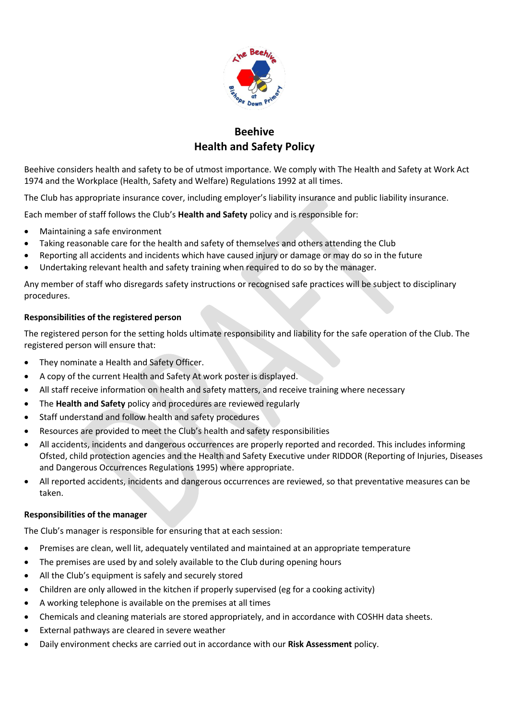

# **Beehive Health and Safety Policy**

Beehive considers health and safety to be of utmost importance. We comply with The Health and Safety at Work Act 1974 and the Workplace (Health, Safety and Welfare) Regulations 1992 at all times.

The Club has appropriate insurance cover, including employer's liability insurance and public liability insurance.

Each member of staff follows the Club's **Health and Safety** policy and is responsible for:

- Maintaining a safe environment
- Taking reasonable care for the health and safety of themselves and others attending the Club
- Reporting all accidents and incidents which have caused injury or damage or may do so in the future
- Undertaking relevant health and safety training when required to do so by the manager.

Any member of staff who disregards safety instructions or recognised safe practices will be subject to disciplinary procedures.

## **Responsibilities of the registered person**

The registered person for the setting holds ultimate responsibility and liability for the safe operation of the Club. The registered person will ensure that:

- They nominate a Health and Safety Officer.
- A copy of the current Health and Safety At work poster is displayed.
- All staff receive information on health and safety matters, and receive training where necessary
- The **Health and Safety** policy and procedures are reviewed regularly
- Staff understand and follow health and safety procedures
- Resources are provided to meet the Club's health and safety responsibilities
- All accidents, incidents and dangerous occurrences are properly reported and recorded. This includes informing Ofsted, child protection agencies and the Health and Safety Executive under RIDDOR (Reporting of Injuries, Diseases and Dangerous Occurrences Regulations 1995) where appropriate.
- All reported accidents, incidents and dangerous occurrences are reviewed, so that preventative measures can be taken.

## **Responsibilities of the manager**

The Club's manager is responsible for ensuring that at each session:

- Premises are clean, well lit, adequately ventilated and maintained at an appropriate temperature
- The premises are used by and solely available to the Club during opening hours
- All the Club's equipment is safely and securely stored
- Children are only allowed in the kitchen if properly supervised (eg for a cooking activity)
- A working telephone is available on the premises at all times
- Chemicals and cleaning materials are stored appropriately, and in accordance with COSHH data sheets.
- External pathways are cleared in severe weather
- Daily environment checks are carried out in accordance with our **Risk Assessment** policy.